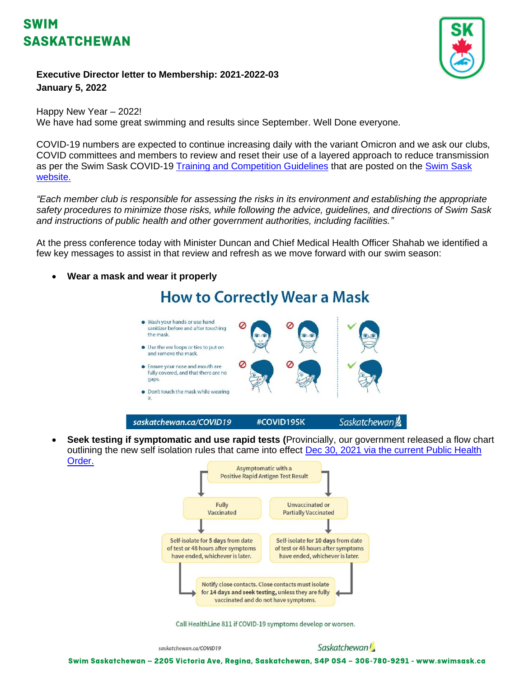# **SWIM SASKATCHEWAN**



#### **Executive Director letter to Membership: 2021-2022-03 January 5, 2022**

#### Happy New Year – 2022! We have had some great swimming and results since September. Well Done everyone.

COVID-19 numbers are expected to continue increasing daily with the variant Omicron and we ask our clubs, COVID committees and members to review and reset their use of a layered approach to reduce transmission as per the Swim Sask COVID-19 [Training and Competition Guidelines](http://www.swimsask.ca/news/covid-19.html) that are posted on the [Swim Sask](http://www.swimsask.ca/news/covid-19.html)  [website.](http://www.swimsask.ca/news/covid-19.html)

*"Each member club is responsible for assessing the risks in its environment and establishing the appropriate safety procedures to minimize those risks, while following the advice, guidelines, and directions of Swim Sask and instructions of public health and other government authorities, including facilities."*

At the press conference today with Minister Duncan and Chief Medical Health Officer Shahab we identified a few key messages to assist in that review and refresh as we move forward with our swim season:

## • **Wear a mask and wear it properly How to Correctly Wear a Mask** • Wash your hands or use hand sanitizer before and after touching the mask • Use the ear loops or ties to put on and remove the mask. • Ensure your nose and mouth are fully covered, and that there are no gaps. • Don't touch the mask while wearing it.

- saskatchewan.ca/COVID19 #COVID19SK Saskatchewan
- **Seek testing if symptomatic and use rapid tests (**Provincially, our government released a flow chart outlining the new self isolation rules that came into effect [Dec 30, 2021 via the current Public Health](https://www.saskatchewan.ca/-/media/files/coronavirus/public-health-measures/public-health-orders/provincial-order---masking-and-isolation-dec-30-2021.pdf)  [Order.](https://www.saskatchewan.ca/-/media/files/coronavirus/public-health-measures/public-health-orders/provincial-order---masking-and-isolation-dec-30-2021.pdf)



Call HealthLine 811 if COVID-19 symptoms develop or worsen.

saskatchewan.ca/COVID19

Swim Saskatchewan - 2205 Victoria Ave, Regina, Saskatchewan, S4P 0S4 - 306-780-9291 - www.swimsask.ca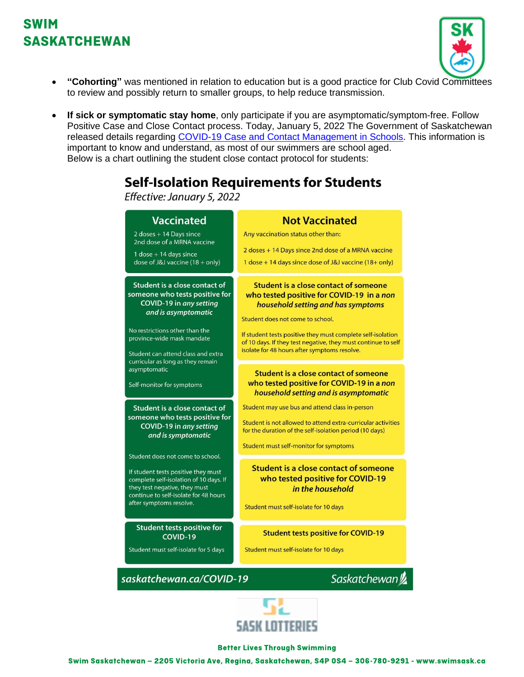## SWIM **SASKATCHEWAN**



- **"Cohorting"** was mentioned in relation to education but is a good practice for Club Covid Committees to review and possibly return to smaller groups, to help reduce transmission.
- **If sick or symptomatic stay home**, only participate if you are asymptomatic/symptom-free. Follow Positive Case and Close Contact process. Today, January 5, 2022 The Government of Saskatchewan released details regarding [COVID-19 Case and Contact Management in Schools.](https://www.saskatchewan.ca/government/health-care-administration-and-provider-resources/treatment-procedures-and-guidelines/emerging-public-health-issues/2019-novel-coronavirus/about-covid-19/covid-19-case-and-contact-management-in-schools) This information is important to know and understand, as most of our swimmers are school aged. Below is a chart outlining the student close contact protocol for students:

## **Self-Isolation Requirements for Students**

Effective: January 5, 2022





#### **Better Lives Through Swimming**

Swim Saskatchewan - 2205 Victoria Ave, Regina, Saskatchewan, S4P 0S4 - 306-780-9291 - www.swimsask.ca